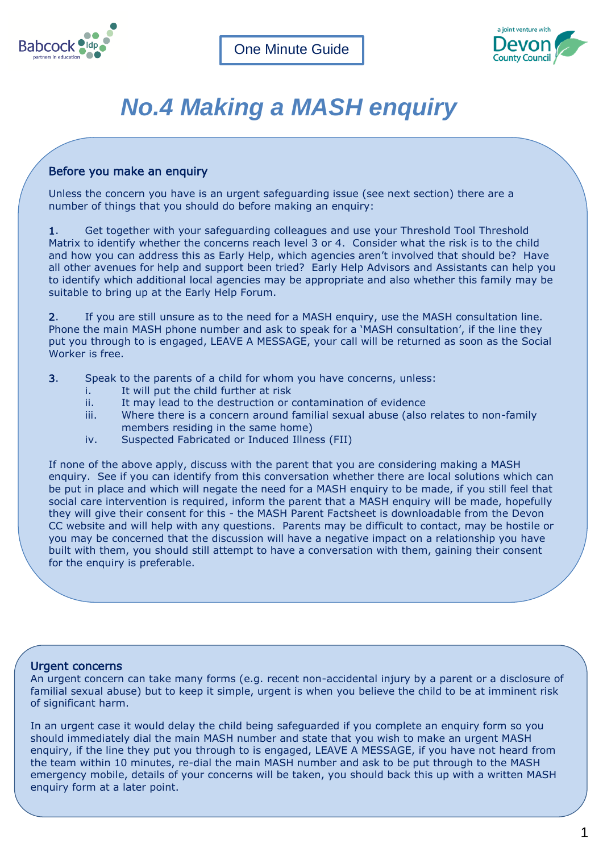



# *No.4 Making a MASH enquiry*

## Before you make an enquiry

Unless the concern you have is an urgent safeguarding issue (see next section) there are a number of things that you should do before making an enquiry:

1. Get together with your safeguarding colleagues and use your Threshold Tool Threshold Matrix to identify whether the concerns reach level 3 or 4. Consider what the risk is to the child and how you can address this as Early Help, which agencies aren't involved that should be? Have all other avenues for help and support been tried? Early Help Advisors and Assistants can help you to identify which additional local agencies may be appropriate and also whether this family may be suitable to bring up at the Early Help Forum.

2. If you are still unsure as to the need for a MASH enquiry, use the MASH consultation line. Phone the main MASH phone number and ask to speak for a 'MASH consultation', if the line they put you through to is engaged, LEAVE A MESSAGE, your call will be returned as soon as the Social Worker is free.

- 3. Speak to the parents of a child for whom you have concerns, unless:
	- i. It will put the child further at risk
	- ii. It may lead to the destruction or contamination of evidence
	- iii. Where there is a concern around familial sexual abuse (also relates to non-family members residing in the same home)
	- iv. Suspected Fabricated or Induced Illness (FII)

If none of the above apply, discuss with the parent that you are considering making a MASH enquiry. See if you can identify from this conversation whether there are local solutions which can be put in place and which will negate the need for a MASH enquiry to be made, if you still feel that social care intervention is required, inform the parent that a MASH enquiry will be made, hopefully they will give their consent for this - the MASH Parent Factsheet is downloadable from the Devon CC website and will help with any questions. Parents may be difficult to contact, may be hostile or you may be concerned that the discussion will have a negative impact on a relationship you have built with them, you should still attempt to have a conversation with them, gaining their consent for the enquiry is preferable.

### Urgent concerns

An urgent concern can take many forms (e.g. recent non-accidental injury by a parent or a disclosure of familial sexual abuse) but to keep it simple, urgent is when you believe the child to be at imminent risk of significant harm.

In an urgent case it would delay the child being safeguarded if you complete an enquiry form so you should immediately dial the main MASH number and state that you wish to make an urgent MASH enquiry, if the line they put you through to is engaged, LEAVE A MESSAGE, if you have not heard from the team within 10 minutes, re-dial the main MASH number and ask to be put through to the MASH emergency mobile, details of your concerns will be taken, you should back this up with a written MASH enquiry form at a later point.